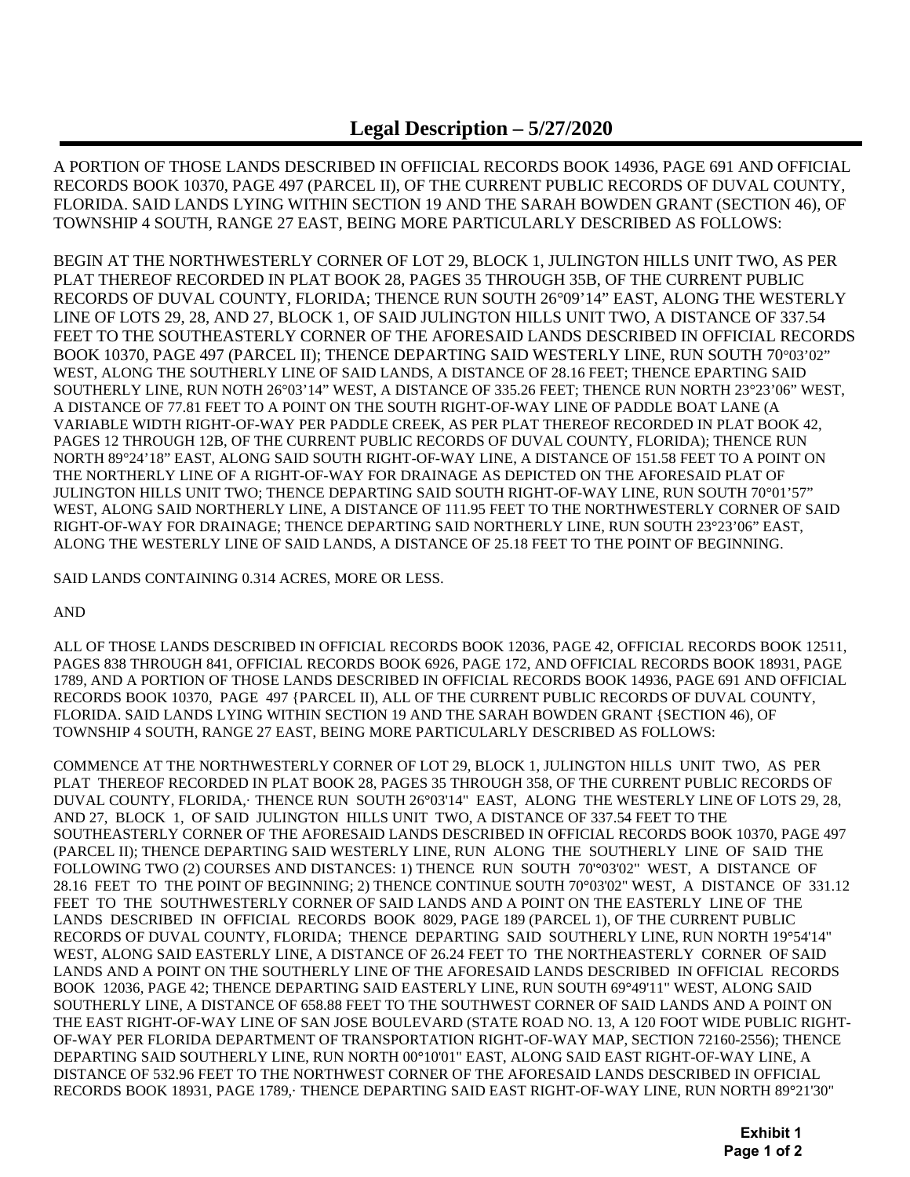## **Legal Description – 5/27/2020**

A PORTION OF THOSE LANDS DESCRIBED IN OFFIICIAL RECORDS BOOK 14936, PAGE 691 AND OFFICIAL RECORDS BOOK 10370, PAGE 497 (PARCEL II), OF THE CURRENT PUBLIC RECORDS OF DUVAL COUNTY, FLORIDA. SAID LANDS LYING WITHIN SECTION 19 AND THE SARAH BOWDEN GRANT (SECTION 46), OF TOWNSHIP 4 SOUTH, RANGE 27 EAST, BEING MORE PARTICULARLY DESCRIBED AS FOLLOWS:

BEGIN AT THE NORTHWESTERLY CORNER OF LOT 29, BLOCK 1, JULINGTON HILLS UNIT TWO, AS PER PLAT THEREOF RECORDED IN PLAT BOOK 28, PAGES 35 THROUGH 35B, OF THE CURRENT PUBLIC RECORDS OF DUVAL COUNTY, FLORIDA; THENCE RUN SOUTH 26°09'14" EAST, ALONG THE WESTERLY LINE OF LOTS 29, 28, AND 27, BLOCK 1, OF SAID JULINGTON HILLS UNIT TWO, A DISTANCE OF 337.54 FEET TO THE SOUTHEASTERLY CORNER OF THE AFORESAID LANDS DESCRIBED IN OFFICIAL RECORDS BOOK 10370, PAGE 497 (PARCEL II); THENCE DEPARTING SAID WESTERLY LINE, RUN SOUTH 70°03'02" WEST, ALONG THE SOUTHERLY LINE OF SAID LANDS, A DISTANCE OF 28.16 FEET; THENCE EPARTING SAID SOUTHERLY LINE, RUN NOTH 26°03'14" WEST, A DISTANCE OF 335.26 FEET; THENCE RUN NORTH 23°23'06" WEST, A DISTANCE OF 77.81 FEET TO A POINT ON THE SOUTH RIGHT-OF-WAY LINE OF PADDLE BOAT LANE (A VARIABLE WIDTH RIGHT-OF-WAY PER PADDLE CREEK, AS PER PLAT THEREOF RECORDED IN PLAT BOOK 42, PAGES 12 THROUGH 12B, OF THE CURRENT PUBLIC RECORDS OF DUVAL COUNTY, FLORIDA); THENCE RUN NORTH 89°24'18" EAST, ALONG SAID SOUTH RIGHT-OF-WAY LINE, A DISTANCE OF 151.58 FEET TO A POINT ON THE NORTHERLY LINE OF A RIGHT-OF-WAY FOR DRAINAGE AS DEPICTED ON THE AFORESAID PLAT OF JULINGTON HILLS UNIT TWO; THENCE DEPARTING SAID SOUTH RIGHT-OF-WAY LINE, RUN SOUTH 70°01'57" WEST, ALONG SAID NORTHERLY LINE, A DISTANCE OF 111.95 FEET TO THE NORTHWESTERLY CORNER OF SAID RIGHT-OF-WAY FOR DRAINAGE; THENCE DEPARTING SAID NORTHERLY LINE, RUN SOUTH 23°23'06" EAST, ALONG THE WESTERLY LINE OF SAID LANDS, A DISTANCE OF 25.18 FEET TO THE POINT OF BEGINNING.

SAID LANDS CONTAINING 0.314 ACRES, MORE OR LESS.

AND

ALL OF THOSE LANDS DESCRIBED IN OFFICIAL RECORDS BOOK 12036, PAGE 42, OFFICIAL RECORDS BOOK 12511, PAGES 838 THROUGH 841, OFFICIAL RECORDS BOOK 6926, PAGE 172, AND OFFICIAL RECORDS BOOK 18931, PAGE 1789, AND A PORTION OF THOSE LANDS DESCRIBED IN OFFICIAL RECORDS BOOK 14936, PAGE 691 AND OFFICIAL RECORDS BOOK 10370, PAGE 497 {PARCEL II), ALL OF THE CURRENT PUBLIC RECORDS OF DUVAL COUNTY, FLORIDA. SAID LANDS LYING WITHIN SECTION 19 AND THE SARAH BOWDEN GRANT {SECTION 46), OF TOWNSHIP 4 SOUTH, RANGE 27 EAST, BEING MORE PARTICULARLY DESCRIBED AS FOLLOWS:

COMMENCE AT THE NORTHWESTERLY CORNER OF LOT 29, BLOCK 1, JULINGTON HILLS UNIT TWO, AS PER PLAT THEREOF RECORDED IN PLAT BOOK 28, PAGES 35 THROUGH 358, OF THE CURRENT PUBLIC RECORDS OF DUVAL COUNTY, FLORIDA,· THENCE RUN SOUTH 26**°**03'14" EAST, ALONG THE WESTERLY LINE OF LOTS 29, 28, AND 27, BLOCK 1, OF SAID JULINGTON HILLS UNIT TWO, A DISTANCE OF 337.54 FEET TO THE SOUTHEASTERLY CORNER OF THE AFORESAID LANDS DESCRIBED IN OFFICIAL RECORDS BOOK 10370, PAGE 497 (PARCEL II); THENCE DEPARTING SAID WESTERLY LINE, RUN ALONG THE SOUTHERLY LINE OF SAID THE FOLLOWING TWO (2) COURSES AND DISTANCES: 1) THENCE RUN SOUTH 70'**°**03'02" WEST, A DISTANCE OF 28.16 FEET TO THE POINT OF BEGINNING; 2) THENCE CONTINUE SOUTH 70**°**03'02" WEST, A DISTANCE OF 331.12 FEET TO THE SOUTHWESTERLY CORNER OF SAID LANDS AND A POINT ON THE EASTERLY LINE OF THE LANDS DESCRIBED IN OFFICIAL RECORDS BOOK 8029, PAGE 189 (PARCEL 1), OF THE CURRENT PUBLIC RECORDS OF DUVAL COUNTY, FLORIDA; THENCE DEPARTING SAID SOUTHERLY LINE, RUN NORTH 19**°**54'14" WEST, ALONG SAID EASTERLY LINE, A DISTANCE OF 26.24 FEET TO THE NORTHEASTERLY CORNER OF SAID LANDS AND A POINT ON THE SOUTHERLY LINE OF THE AFORESAID LANDS DESCRIBED IN OFFICIAL RECORDS BOOK 12036, PAGE 42; THENCE DEPARTING SAID EASTERLY LINE, RUN SOUTH 69**°**49'11" WEST, ALONG SAID SOUTHERLY LINE, A DISTANCE OF 658.88 FEET TO THE SOUTHWEST CORNER OF SAID LANDS AND A POINT ON THE EAST RIGHT-OF-WAY LINE OF SAN JOSE BOULEVARD (STATE ROAD NO. 13, A 120 FOOT WIDE PUBLIC RIGHT-OF-WAY PER FLORIDA DEPARTMENT OF TRANSPORTATION RIGHT-OF-WAY MAP, SECTION 72160-2556); THENCE DEPARTING SAID SOUTHERLY LINE, RUN NORTH 00**°**10'01" EAST, ALONG SAID EAST RIGHT-OF-WAY LINE, A DISTANCE OF 532.96 FEET TO THE NORTHWEST CORNER OF THE AFORESAID LANDS DESCRIBED IN OFFICIAL RECORDS BOOK 18931, PAGE 1789,· THENCE DEPARTING SAID EAST RIGHT-OF-WAY LINE, RUN NORTH 89**°**21'30"